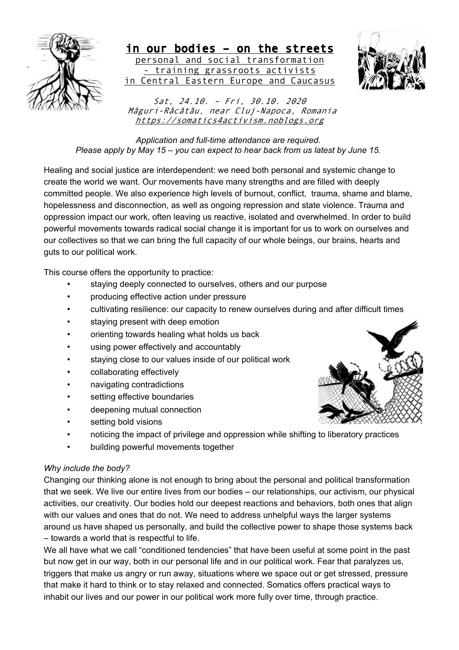

in our bodies – on the streets personal and social transformation - training grassroots activists in Central Eastern Europe and Caucasus



Sat, 24.10. – Fri, 30.10. 2020 Măguri-Răcătău, near Cluj-Napoca, Romania https://somatics4activism.noblogs.org

*Application and full-time attendance are required. Please apply by May 15 – you can expect to hear back from us latest by June 15.* 

Healing and social justice are interdependent: we need both personal and systemic change to create the world we want. Our movements have many strengths and are filled with deeply committed people. We also experience high levels of burnout, conflict, trauma, shame and blame, hopelessness and disconnection, as well as ongoing repression and state violence. Trauma and oppression impact our work, often leaving us reactive, isolated and overwhelmed. In order to build powerful movements towards radical social change it is important for us to work on ourselves and our collectives so that we can bring the full capacity of our whole beings, our brains, hearts and guts to our political work.

This course offers the opportunity to practice:

- staying deeply connected to ourselves, others and our purpose
- producing effective action under pressure
- cultivating resilience: our capacity to renew ourselves during and after difficult times
- staying present with deep emotion
- orienting towards healing what holds us back
- using power effectively and accountably
- staying close to our values inside of our political work
- collaborating effectively
- navigating contradictions
- setting effective boundaries
- deepening mutual connection
- setting bold visions
- noticing the impact of privilege and oppression while shifting to liberatory practices
- building powerful movements together

# *Why include the body?*

Changing our thinking alone is not enough to bring about the personal and political transformation that we seek. We live our entire lives from our bodies – our relationships, our activism, our physical activities, our creativity. Our bodies hold our deepest reactions and behaviors, both ones that align with our values and ones that do not. We need to address unhelpful ways the larger systems around us have shaped us personally, and build the collective power to shape those systems back – towards a world that is respectful to life.

We all have what we call "conditioned tendencies" that have been useful at some point in the past but now get in our way, both in our personal life and in our political work. Fear that paralyzes us, triggers that make us angry or run away, situations where we space out or get stressed, pressure that make it hard to think or to stay relaxed and connected. Somatics offers practical ways to inhabit our lives and our power in our political work more fully over time, through practice.